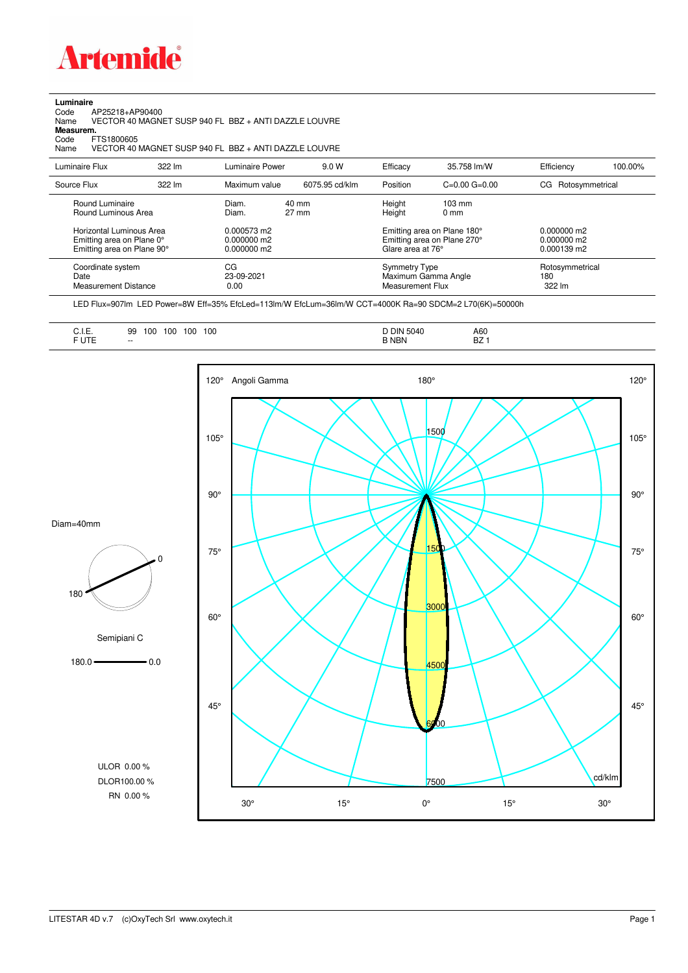

**Luminaire**<br>Code<br>Name Code AP25218+AP90400 Name VECTOR 40 MAGNET SUSP 940 FL BBZ + ANTI DAZZLE LOUVRE

**Measurem.**

Code FTS1800605<br>Name VECTOR 40 Name VECTOR 40 MAGNET SUSP 940 FL BBZ + ANTI DAZZLE LOUVRE

| Luminaire Flux                                                                                                                | 322 lm | Luminaire Power                                                 | 9.0 W                    | Efficacy | 35.758 lm/W                                                                                                                               | Efficiency                       | 100.00% |
|-------------------------------------------------------------------------------------------------------------------------------|--------|-----------------------------------------------------------------|--------------------------|----------|-------------------------------------------------------------------------------------------------------------------------------------------|----------------------------------|---------|
| Source Flux                                                                                                                   | 322 lm | Maximum value                                                   | 6075.95 cd/klm           | Position | $C=0.00$ $G=0.00$                                                                                                                         | Rotosymmetrical<br>CG            |         |
| Round Luminaire<br>Round Luminous Area<br>Horizontal Luminous Area<br>Emitting area on Plane 0°<br>Emitting area on Plane 90° |        | Diam.<br>Diam.<br>0.000573 m2<br>$0.000000$ m2<br>$0.000000$ m2 | 40 mm<br>$27 \text{ mm}$ |          | Height<br>$103 \text{ mm}$<br>Height<br>$0 \text{ mm}$<br>Emitting area on Plane 180°<br>Emitting area on Plane 270°<br>Glare area at 76° |                                  |         |
| Coordinate system<br>Date<br><b>Measurement Distance</b>                                                                      |        | CG<br>23-09-2021<br>0.00                                        |                          |          | <b>Symmetry Type</b><br>Maximum Gamma Angle<br>Measurement Flux                                                                           | Rotosymmetrical<br>180<br>322 lm |         |

LED Flux=907lm LED Power=8W Eff=35% EfcLed=113lm/W EfcLum=36lm/W CCT=4000K Ra=90 SDCM=2 L70(6K)=50000h